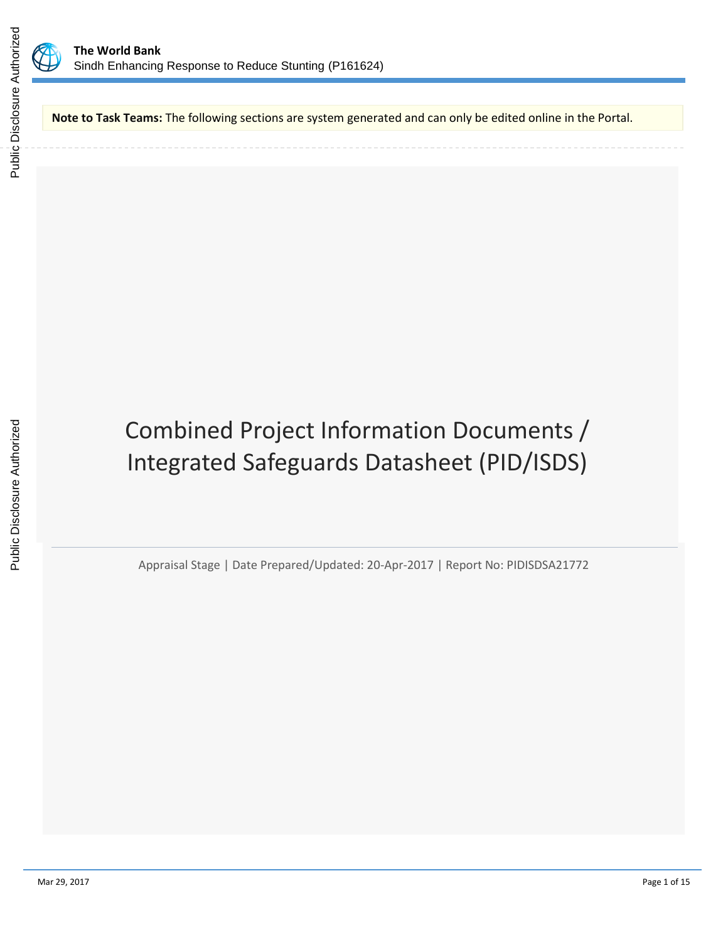



**Note to Task Teams:** The following sections are system generated and can only be edited online in the Portal.

# Combined Project Information Documents / Integrated Safeguards Datasheet (PID/ISDS)

Appraisal Stage | Date Prepared/Updated: 20-Apr-2017 | Report No: PIDISDSA21772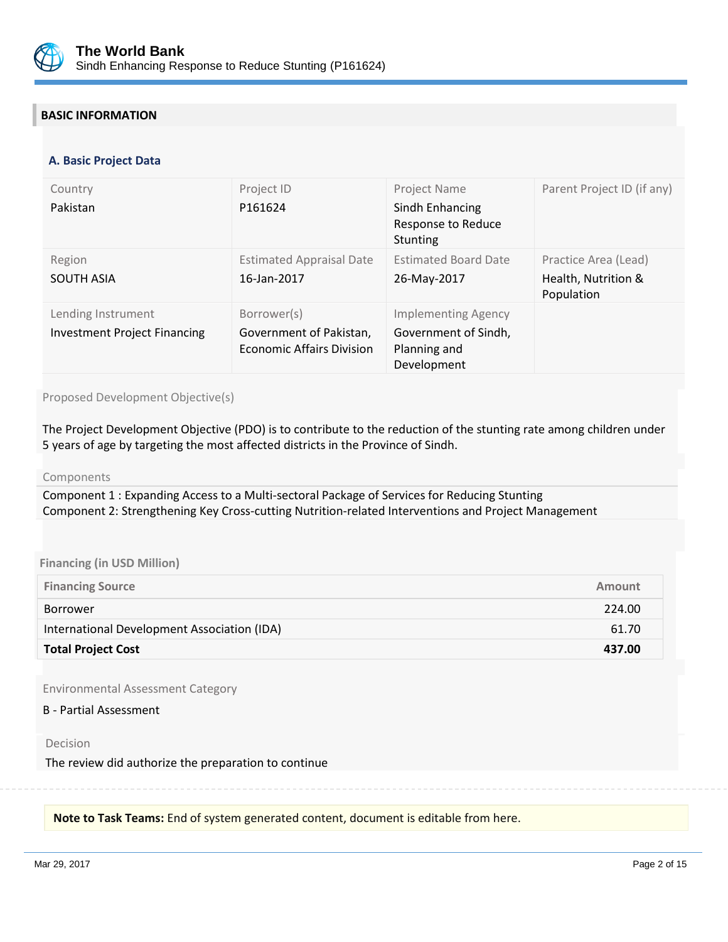

# **BASIC INFORMATION**

#### **OPS\_TABLE\_BASIC\_DATA A. Basic Project Data**

| Country<br>Pakistan                                       | Project ID<br>P161624                                                      | Project Name<br>Sindh Enhancing<br>Response to Reduce<br><b>Stunting</b>          | Parent Project ID (if any)                                |
|-----------------------------------------------------------|----------------------------------------------------------------------------|-----------------------------------------------------------------------------------|-----------------------------------------------------------|
| Region<br><b>SOUTH ASIA</b>                               | <b>Estimated Appraisal Date</b><br>16-Jan-2017                             | <b>Estimated Board Date</b><br>26-May-2017                                        | Practice Area (Lead)<br>Health, Nutrition &<br>Population |
| Lending Instrument<br><b>Investment Project Financing</b> | Borrower(s)<br>Government of Pakistan,<br><b>Economic Affairs Division</b> | <b>Implementing Agency</b><br>Government of Sindh,<br>Planning and<br>Development |                                                           |

#### Proposed Development Objective(s)

The Project Development Objective (PDO) is to contribute to the reduction of the stunting rate among children under 5 years of age by targeting the most affected districts in the Province of Sindh.

Components

Component 1 : Expanding Access to a Multi-sectoral Package of Services for Reducing Stunting Component 2: Strengthening Key Cross-cutting Nutrition-related Interventions and Project Management

#### **Financing (in USD Million)**

| <b>Financing Source</b>                     | <b>Amount</b> |
|---------------------------------------------|---------------|
| Borrower                                    | 224.00        |
| International Development Association (IDA) | 61.70         |
| <b>Total Project Cost</b>                   | 437.00        |

Environmental Assessment Category

#### B - Partial Assessment

Decision

The review did authorize the preparation to continue

**Note to Task Teams:** End of system generated content, document is editable from here.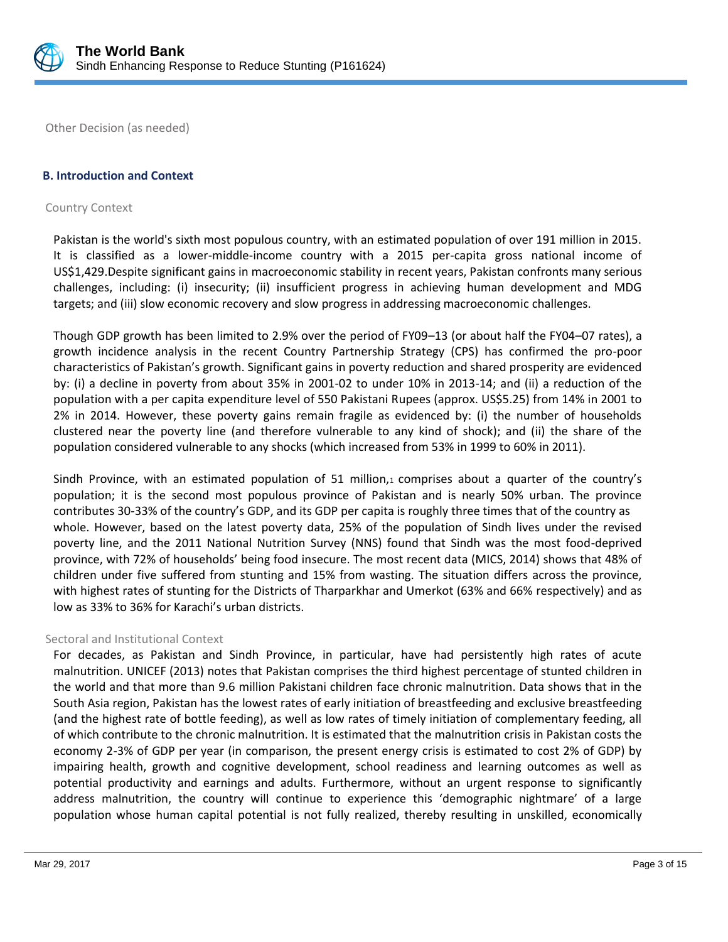

Other Decision (as needed)

# **B. Introduction and Context**

#### Country Context

Pakistan is the world's sixth most populous country, with an estimated population of over 191 million in 2015. It is classified as a lower-middle-income country with a 2015 per-capita gross national income of US\$1,429.Despite significant gains in macroeconomic stability in recent years, Pakistan confronts many serious challenges, including: (i) insecurity; (ii) insufficient progress in achieving human development and MDG targets; and (iii) slow economic recovery and slow progress in addressing macroeconomic challenges.

Though GDP growth has been limited to 2.9% over the period of FY09–13 (or about half the FY04–07 rates), a growth incidence analysis in the recent Country Partnership Strategy (CPS) has confirmed the pro-poor characteristics of Pakistan's growth. Significant gains in poverty reduction and shared prosperity are evidenced by: (i) a decline in poverty from about 35% in 2001-02 to under 10% in 2013-14; and (ii) a reduction of the population with a per capita expenditure level of 550 Pakistani Rupees (approx. US\$5.25) from 14% in 2001 to 2% in 2014. However, these poverty gains remain fragile as evidenced by: (i) the number of households clustered near the poverty line (and therefore vulnerable to any kind of shock); and (ii) the share of the population considered vulnerable to any shocks (which increased from 53% in 1999 to 60% in 2011).

Sindh Province, with an estimated population of 51 million, $1$  comprises about a quarter of the country's population; it is the second most populous province of Pakistan and is nearly 50% urban. The province contributes 30-33% of the country's GDP, and its GDP per capita is roughly three times that of the country as whole. However, based on the latest poverty data, 25% of the population of Sindh lives under the revised poverty line, and the 2011 National Nutrition Survey (NNS) found that Sindh was the most food-deprived province, with 72% of households' being food insecure. The most recent data (MICS, 2014) shows that 48% of children under five suffered from stunting and 15% from wasting. The situation differs across the province, with highest rates of stunting for the Districts of Tharparkhar and Umerkot (63% and 66% respectively) and as low as 33% to 36% for Karachi's urban districts.

#### Sectoral and Institutional Context

For decades, as Pakistan and Sindh Province, in particular, have had persistently high rates of acute malnutrition. UNICEF (2013) notes that Pakistan comprises the third highest percentage of stunted children in the world and that more than 9.6 million Pakistani children face chronic malnutrition. Data shows that in the South Asia region, Pakistan has the lowest rates of early initiation of breastfeeding and exclusive breastfeeding (and the highest rate of bottle feeding), as well as low rates of timely initiation of complementary feeding, all of which contribute to the chronic malnutrition. It is estimated that the malnutrition crisis in Pakistan costs the economy 2-3% of GDP per year (in comparison, the present energy crisis is estimated to cost 2% of GDP) by impairing health, growth and cognitive development, school readiness and learning outcomes as well as potential productivity and earnings and adults. Furthermore, without an urgent response to significantly address malnutrition, the country will continue to experience this 'demographic nightmare' of a large population whose human capital potential is not fully realized, thereby resulting in unskilled, economically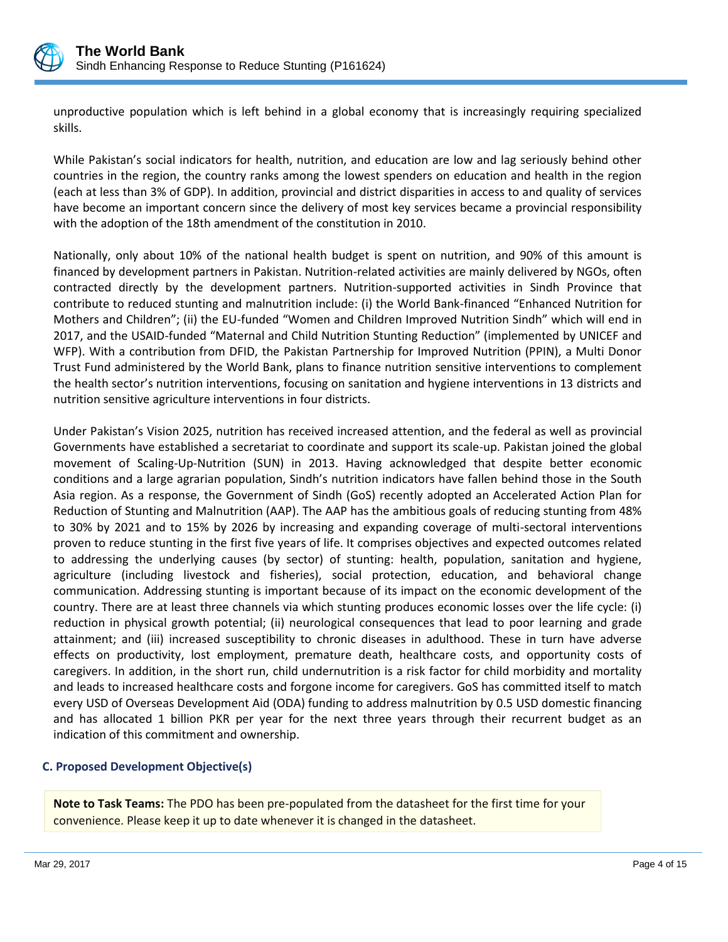

unproductive population which is left behind in a global economy that is increasingly requiring specialized skills.

While Pakistan's social indicators for health, nutrition, and education are low and lag seriously behind other countries in the region, the country ranks among the lowest spenders on education and health in the region (each at less than 3% of GDP). In addition, provincial and district disparities in access to and quality of services have become an important concern since the delivery of most key services became a provincial responsibility with the adoption of the 18th amendment of the constitution in 2010.

Nationally, only about 10% of the national health budget is spent on nutrition, and 90% of this amount is financed by development partners in Pakistan. Nutrition-related activities are mainly delivered by NGOs, often contracted directly by the development partners. Nutrition-supported activities in Sindh Province that contribute to reduced stunting and malnutrition include: (i) the World Bank-financed "Enhanced Nutrition for Mothers and Children"; (ii) the EU-funded "Women and Children Improved Nutrition Sindh" which will end in 2017, and the USAID-funded "Maternal and Child Nutrition Stunting Reduction" (implemented by UNICEF and WFP). With a contribution from DFID, the Pakistan Partnership for Improved Nutrition (PPIN), a Multi Donor Trust Fund administered by the World Bank, plans to finance nutrition sensitive interventions to complement the health sector's nutrition interventions, focusing on sanitation and hygiene interventions in 13 districts and nutrition sensitive agriculture interventions in four districts.

Under Pakistan's Vision 2025, nutrition has received increased attention, and the federal as well as provincial Governments have established a secretariat to coordinate and support its scale-up. Pakistan joined the global movement of Scaling-Up-Nutrition (SUN) in 2013. Having acknowledged that despite better economic conditions and a large agrarian population, Sindh's nutrition indicators have fallen behind those in the South Asia region. As a response, the Government of Sindh (GoS) recently adopted an Accelerated Action Plan for Reduction of Stunting and Malnutrition (AAP). The AAP has the ambitious goals of reducing stunting from 48% to 30% by 2021 and to 15% by 2026 by increasing and expanding coverage of multi-sectoral interventions proven to reduce stunting in the first five years of life. It comprises objectives and expected outcomes related to addressing the underlying causes (by sector) of stunting: health, population, sanitation and hygiene, agriculture (including livestock and fisheries), social protection, education, and behavioral change communication. Addressing stunting is important because of its impact on the economic development of the country. There are at least three channels via which stunting produces economic losses over the life cycle: (i) reduction in physical growth potential; (ii) neurological consequences that lead to poor learning and grade attainment; and (iii) increased susceptibility to chronic diseases in adulthood. These in turn have adverse effects on productivity, lost employment, premature death, healthcare costs, and opportunity costs of caregivers. In addition, in the short run, child undernutrition is a risk factor for child morbidity and mortality and leads to increased healthcare costs and forgone income for caregivers. GoS has committed itself to match every USD of Overseas Development Aid (ODA) funding to address malnutrition by 0.5 USD domestic financing and has allocated 1 billion PKR per year for the next three years through their recurrent budget as an indication of this commitment and ownership.

# **C. Proposed Development Objective(s)**

**Note to Task Teams:** The PDO has been pre-populated from the datasheet for the first time for your convenience. Please keep it up to date whenever it is changed in the datasheet.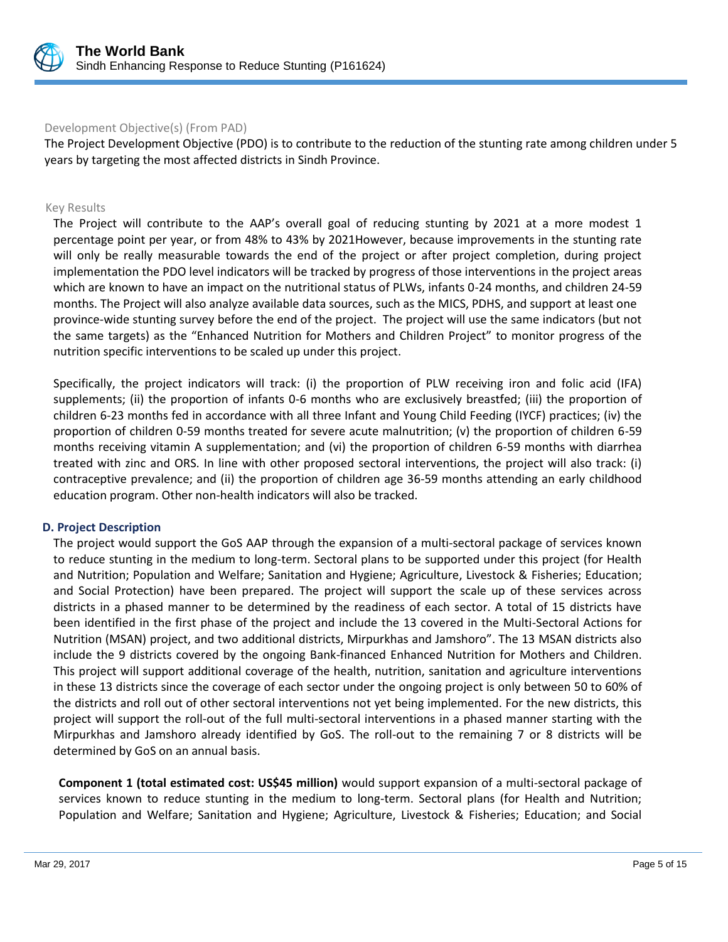

# Development Objective(s) (From PAD)

The Project Development Objective (PDO) is to contribute to the reduction of the stunting rate among children under 5 years by targeting the most affected districts in Sindh Province.

#### Key Results

The Project will contribute to the AAP's overall goal of reducing stunting by 2021 at a more modest 1 percentage point per year, or from 48% to 43% by 2021However, because improvements in the stunting rate will only be really measurable towards the end of the project or after project completion, during project implementation the PDO level indicators will be tracked by progress of those interventions in the project areas which are known to have an impact on the nutritional status of PLWs, infants 0-24 months, and children 24-59 months. The Project will also analyze available data sources, such as the MICS, PDHS, and support at least one province-wide stunting survey before the end of the project. The project will use the same indicators (but not the same targets) as the "Enhanced Nutrition for Mothers and Children Project" to monitor progress of the nutrition specific interventions to be scaled up under this project.

Specifically, the project indicators will track: (i) the proportion of PLW receiving iron and folic acid (IFA) supplements; (ii) the proportion of infants 0-6 months who are exclusively breastfed; (iii) the proportion of children 6-23 months fed in accordance with all three Infant and Young Child Feeding (IYCF) practices; (iv) the proportion of children 0-59 months treated for severe acute malnutrition; (v) the proportion of children 6-59 months receiving vitamin A supplementation; and (vi) the proportion of children 6-59 months with diarrhea treated with zinc and ORS. In line with other proposed sectoral interventions, the project will also track: (i) contraceptive prevalence; and (ii) the proportion of children age 36-59 months attending an early childhood education program. Other non-health indicators will also be tracked.

#### **D. Project Description**

The project would support the GoS AAP through the expansion of a multi-sectoral package of services known to reduce stunting in the medium to long-term. Sectoral plans to be supported under this project (for Health and Nutrition; Population and Welfare; Sanitation and Hygiene; Agriculture, Livestock & Fisheries; Education; and Social Protection) have been prepared. The project will support the scale up of these services across districts in a phased manner to be determined by the readiness of each sector. A total of 15 districts have been identified in the first phase of the project and include the 13 covered in the Multi-Sectoral Actions for Nutrition (MSAN) project, and two additional districts, Mirpurkhas and Jamshoro". The 13 MSAN districts also include the 9 districts covered by the ongoing Bank-financed Enhanced Nutrition for Mothers and Children. This project will support additional coverage of the health, nutrition, sanitation and agriculture interventions in these 13 districts since the coverage of each sector under the ongoing project is only between 50 to 60% of the districts and roll out of other sectoral interventions not yet being implemented. For the new districts, this project will support the roll-out of the full multi-sectoral interventions in a phased manner starting with the Mirpurkhas and Jamshoro already identified by GoS. The roll-out to the remaining 7 or 8 districts will be determined by GoS on an annual basis.

**Component 1 (total estimated cost: US\$45 million)** would support expansion of a multi-sectoral package of services known to reduce stunting in the medium to long-term. Sectoral plans (for Health and Nutrition; Population and Welfare; Sanitation and Hygiene; Agriculture, Livestock & Fisheries; Education; and Social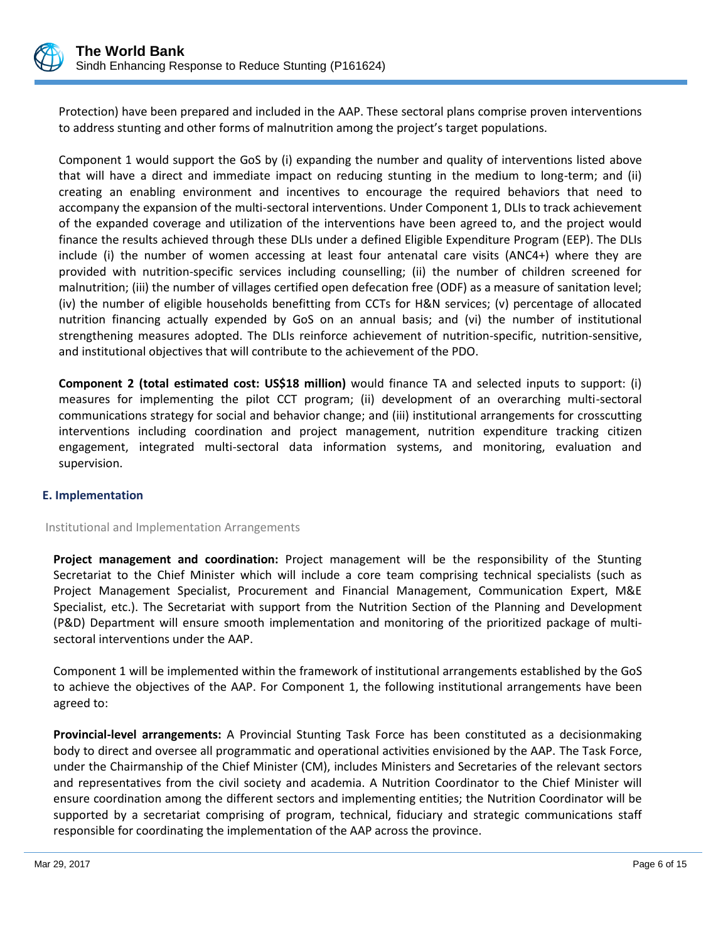

Protection) have been prepared and included in the AAP. These sectoral plans comprise proven interventions to address stunting and other forms of malnutrition among the project's target populations.

Component 1 would support the GoS by (i) expanding the number and quality of interventions listed above that will have a direct and immediate impact on reducing stunting in the medium to long-term; and (ii) creating an enabling environment and incentives to encourage the required behaviors that need to accompany the expansion of the multi-sectoral interventions. Under Component 1, DLIs to track achievement of the expanded coverage and utilization of the interventions have been agreed to, and the project would finance the results achieved through these DLIs under a defined Eligible Expenditure Program (EEP). The DLIs include (i) the number of women accessing at least four antenatal care visits (ANC4+) where they are provided with nutrition-specific services including counselling; (ii) the number of children screened for malnutrition; (iii) the number of villages certified open defecation free (ODF) as a measure of sanitation level; (iv) the number of eligible households benefitting from CCTs for H&N services; (v) percentage of allocated nutrition financing actually expended by GoS on an annual basis; and (vi) the number of institutional strengthening measures adopted. The DLIs reinforce achievement of nutrition-specific, nutrition-sensitive, and institutional objectives that will contribute to the achievement of the PDO.

**Component 2 (total estimated cost: US\$18 million)** would finance TA and selected inputs to support: (i) measures for implementing the pilot CCT program; (ii) development of an overarching multi-sectoral communications strategy for social and behavior change; and (iii) institutional arrangements for crosscutting interventions including coordination and project management, nutrition expenditure tracking citizen engagement, integrated multi-sectoral data information systems, and monitoring, evaluation and supervision.

# **E. Implementation**

#### Institutional and Implementation Arrangements

**Project management and coordination:** Project management will be the responsibility of the Stunting Secretariat to the Chief Minister which will include a core team comprising technical specialists (such as Project Management Specialist, Procurement and Financial Management, Communication Expert, M&E Specialist, etc.). The Secretariat with support from the Nutrition Section of the Planning and Development (P&D) Department will ensure smooth implementation and monitoring of the prioritized package of multisectoral interventions under the AAP.

Component 1 will be implemented within the framework of institutional arrangements established by the GoS to achieve the objectives of the AAP. For Component 1, the following institutional arrangements have been agreed to:

**Provincial-level arrangements:** A Provincial Stunting Task Force has been constituted as a decisionmaking body to direct and oversee all programmatic and operational activities envisioned by the AAP. The Task Force, under the Chairmanship of the Chief Minister (CM), includes Ministers and Secretaries of the relevant sectors and representatives from the civil society and academia. A Nutrition Coordinator to the Chief Minister will ensure coordination among the different sectors and implementing entities; the Nutrition Coordinator will be supported by a secretariat comprising of program, technical, fiduciary and strategic communications staff responsible for coordinating the implementation of the AAP across the province.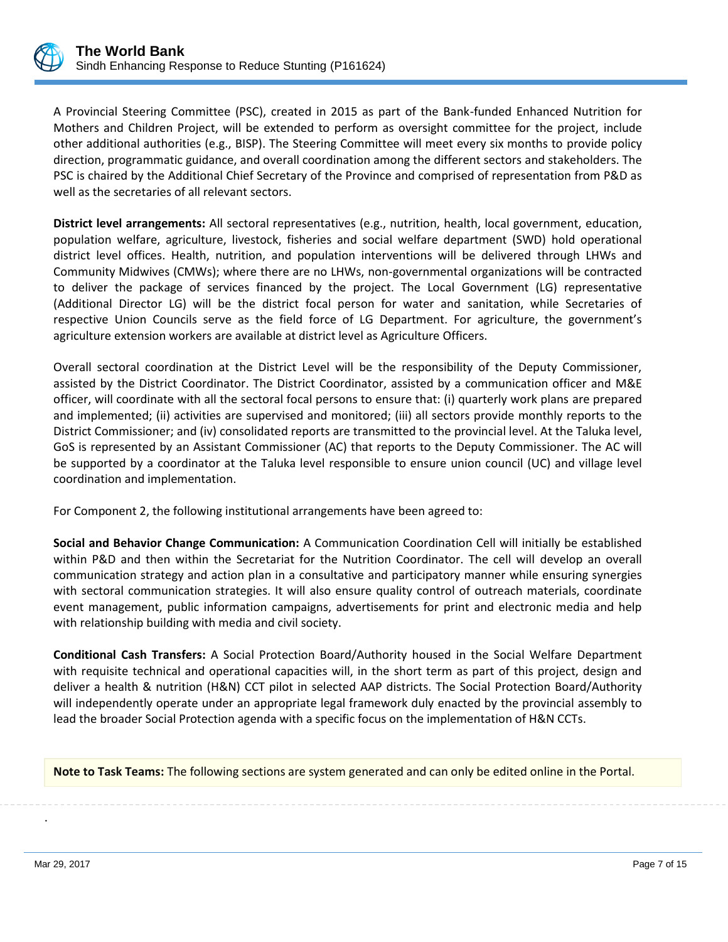

A Provincial Steering Committee (PSC), created in 2015 as part of the Bank-funded Enhanced Nutrition for Mothers and Children Project, will be extended to perform as oversight committee for the project, include other additional authorities (e.g., BISP). The Steering Committee will meet every six months to provide policy direction, programmatic guidance, and overall coordination among the different sectors and stakeholders. The PSC is chaired by the Additional Chief Secretary of the Province and comprised of representation from P&D as well as the secretaries of all relevant sectors.

**District level arrangements:** All sectoral representatives (e.g., nutrition, health, local government, education, population welfare, agriculture, livestock, fisheries and social welfare department (SWD) hold operational district level offices. Health, nutrition, and population interventions will be delivered through LHWs and Community Midwives (CMWs); where there are no LHWs, non-governmental organizations will be contracted to deliver the package of services financed by the project. The Local Government (LG) representative (Additional Director LG) will be the district focal person for water and sanitation, while Secretaries of respective Union Councils serve as the field force of LG Department. For agriculture, the government's agriculture extension workers are available at district level as Agriculture Officers.

Overall sectoral coordination at the District Level will be the responsibility of the Deputy Commissioner, assisted by the District Coordinator. The District Coordinator, assisted by a communication officer and M&E officer, will coordinate with all the sectoral focal persons to ensure that: (i) quarterly work plans are prepared and implemented; (ii) activities are supervised and monitored; (iii) all sectors provide monthly reports to the District Commissioner; and (iv) consolidated reports are transmitted to the provincial level. At the Taluka level, GoS is represented by an Assistant Commissioner (AC) that reports to the Deputy Commissioner. The AC will be supported by a coordinator at the Taluka level responsible to ensure union council (UC) and village level coordination and implementation.

For Component 2, the following institutional arrangements have been agreed to:

**Social and Behavior Change Communication:** A Communication Coordination Cell will initially be established within P&D and then within the Secretariat for the Nutrition Coordinator. The cell will develop an overall communication strategy and action plan in a consultative and participatory manner while ensuring synergies with sectoral communication strategies. It will also ensure quality control of outreach materials, coordinate event management, public information campaigns, advertisements for print and electronic media and help with relationship building with media and civil society.

**Conditional Cash Transfers:** A Social Protection Board/Authority housed in the Social Welfare Department with requisite technical and operational capacities will, in the short term as part of this project, design and deliver a health & nutrition (H&N) CCT pilot in selected AAP districts. The Social Protection Board/Authority will independently operate under an appropriate legal framework duly enacted by the provincial assembly to lead the broader Social Protection agenda with a specific focus on the implementation of H&N CCTs.

**Note to Task Teams:** The following sections are system generated and can only be edited online in the Portal.

.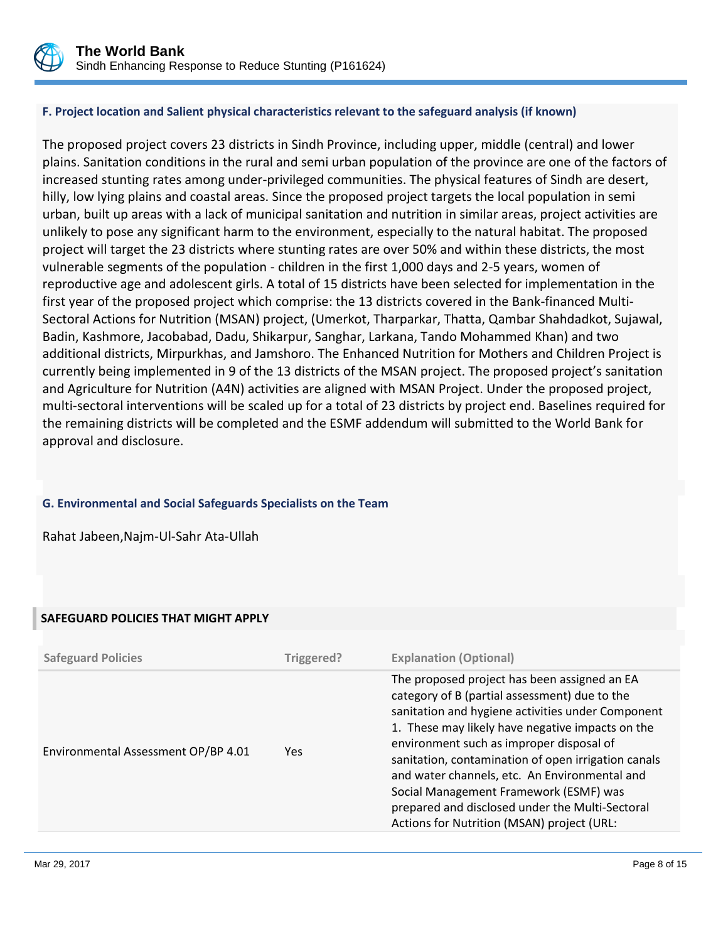

# **F. Project location and Salient physical characteristics relevant to the safeguard analysis (if known)**

The proposed project covers 23 districts in Sindh Province, including upper, middle (central) and lower plains. Sanitation conditions in the rural and semi urban population of the province are one of the factors of increased stunting rates among under-privileged communities. The physical features of Sindh are desert, hilly, low lying plains and coastal areas. Since the proposed project targets the local population in semi urban, built up areas with a lack of municipal sanitation and nutrition in similar areas, project activities are unlikely to pose any significant harm to the environment, especially to the natural habitat. The proposed project will target the 23 districts where stunting rates are over 50% and within these districts, the most vulnerable segments of the population - children in the first 1,000 days and 2-5 years, women of reproductive age and adolescent girls. A total of 15 districts have been selected for implementation in the first year of the proposed project which comprise: the 13 districts covered in the Bank-financed Multi-Sectoral Actions for Nutrition (MSAN) project, (Umerkot, Tharparkar, Thatta, Qambar Shahdadkot, Sujawal, Badin, Kashmore, Jacobabad, Dadu, Shikarpur, Sanghar, Larkana, Tando Mohammed Khan) and two additional districts, Mirpurkhas, and Jamshoro. The Enhanced Nutrition for Mothers and Children Project is currently being implemented in 9 of the 13 districts of the MSAN project. The proposed project's sanitation and Agriculture for Nutrition (A4N) activities are aligned with MSAN Project. Under the proposed project, multi-sectoral interventions will be scaled up for a total of 23 districts by project end. Baselines required for the remaining districts will be completed and the ESMF addendum will submitted to the World Bank for approval and disclosure.

# **G. Environmental and Social Safeguards Specialists on the Team**

Rahat Jabeen,Najm-Ul-Sahr Ata-Ullah

# **SAFEGUARD POLICIES THAT MIGHT APPLY**

| <b>Safeguard Policies</b>           | Triggered? | <b>Explanation (Optional)</b>                                                                                                                                                                                                                                                                                                                                                                                                                                                                         |
|-------------------------------------|------------|-------------------------------------------------------------------------------------------------------------------------------------------------------------------------------------------------------------------------------------------------------------------------------------------------------------------------------------------------------------------------------------------------------------------------------------------------------------------------------------------------------|
| Environmental Assessment OP/BP 4.01 | Yes.       | The proposed project has been assigned an EA<br>category of B (partial assessment) due to the<br>sanitation and hygiene activities under Component<br>1. These may likely have negative impacts on the<br>environment such as improper disposal of<br>sanitation, contamination of open irrigation canals<br>and water channels, etc. An Environmental and<br>Social Management Framework (ESMF) was<br>prepared and disclosed under the Multi-Sectoral<br>Actions for Nutrition (MSAN) project (URL: |
|                                     |            |                                                                                                                                                                                                                                                                                                                                                                                                                                                                                                       |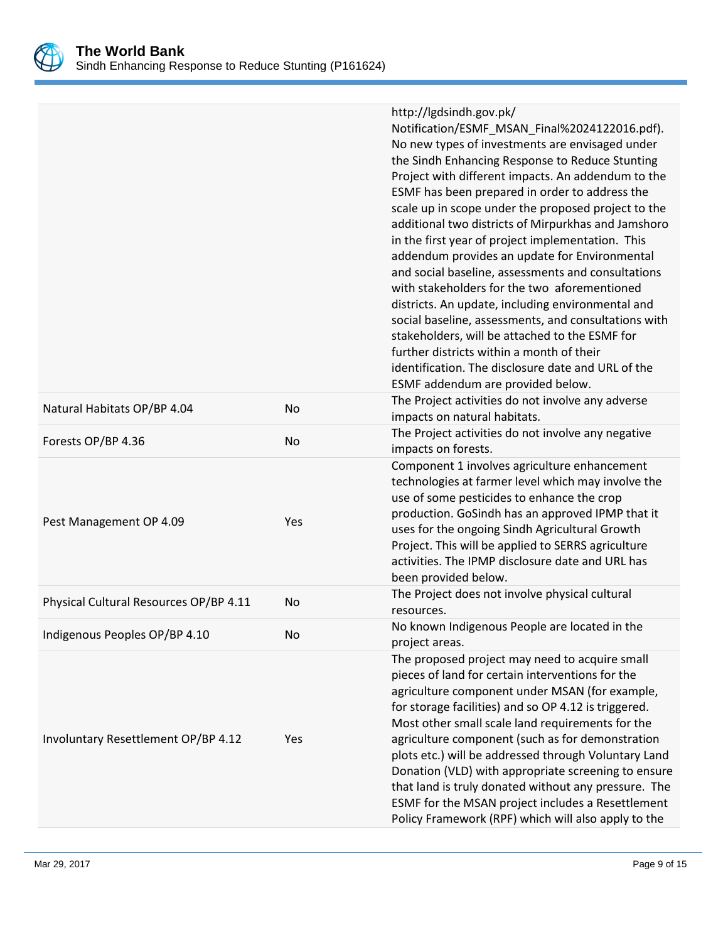

|                                        |     | http://lgdsindh.gov.pk/<br>Notification/ESMF_MSAN_Final%2024122016.pdf).<br>No new types of investments are envisaged under<br>the Sindh Enhancing Response to Reduce Stunting<br>Project with different impacts. An addendum to the<br>ESMF has been prepared in order to address the<br>scale up in scope under the proposed project to the<br>additional two districts of Mirpurkhas and Jamshoro<br>in the first year of project implementation. This<br>addendum provides an update for Environmental<br>and social baseline, assessments and consultations<br>with stakeholders for the two aforementioned<br>districts. An update, including environmental and<br>social baseline, assessments, and consultations with<br>stakeholders, will be attached to the ESMF for<br>further districts within a month of their<br>identification. The disclosure date and URL of the<br>ESMF addendum are provided below. |
|----------------------------------------|-----|-------------------------------------------------------------------------------------------------------------------------------------------------------------------------------------------------------------------------------------------------------------------------------------------------------------------------------------------------------------------------------------------------------------------------------------------------------------------------------------------------------------------------------------------------------------------------------------------------------------------------------------------------------------------------------------------------------------------------------------------------------------------------------------------------------------------------------------------------------------------------------------------------------------------------|
| Natural Habitats OP/BP 4.04            | No  | The Project activities do not involve any adverse<br>impacts on natural habitats.                                                                                                                                                                                                                                                                                                                                                                                                                                                                                                                                                                                                                                                                                                                                                                                                                                       |
| Forests OP/BP 4.36                     | No  | The Project activities do not involve any negative<br>impacts on forests.                                                                                                                                                                                                                                                                                                                                                                                                                                                                                                                                                                                                                                                                                                                                                                                                                                               |
| Pest Management OP 4.09                | Yes | Component 1 involves agriculture enhancement<br>technologies at farmer level which may involve the<br>use of some pesticides to enhance the crop<br>production. GoSindh has an approved IPMP that it<br>uses for the ongoing Sindh Agricultural Growth<br>Project. This will be applied to SERRS agriculture<br>activities. The IPMP disclosure date and URL has<br>been provided below.                                                                                                                                                                                                                                                                                                                                                                                                                                                                                                                                |
| Physical Cultural Resources OP/BP 4.11 | No  | The Project does not involve physical cultural<br>resources.                                                                                                                                                                                                                                                                                                                                                                                                                                                                                                                                                                                                                                                                                                                                                                                                                                                            |
| Indigenous Peoples OP/BP 4.10          | No. | No known Indigenous People are located in the<br>project areas.                                                                                                                                                                                                                                                                                                                                                                                                                                                                                                                                                                                                                                                                                                                                                                                                                                                         |
| Involuntary Resettlement OP/BP 4.12    | Yes | The proposed project may need to acquire small<br>pieces of land for certain interventions for the<br>agriculture component under MSAN (for example,<br>for storage facilities) and so OP 4.12 is triggered.<br>Most other small scale land requirements for the<br>agriculture component (such as for demonstration<br>plots etc.) will be addressed through Voluntary Land<br>Donation (VLD) with appropriate screening to ensure<br>that land is truly donated without any pressure. The<br>ESMF for the MSAN project includes a Resettlement<br>Policy Framework (RPF) which will also apply to the                                                                                                                                                                                                                                                                                                                 |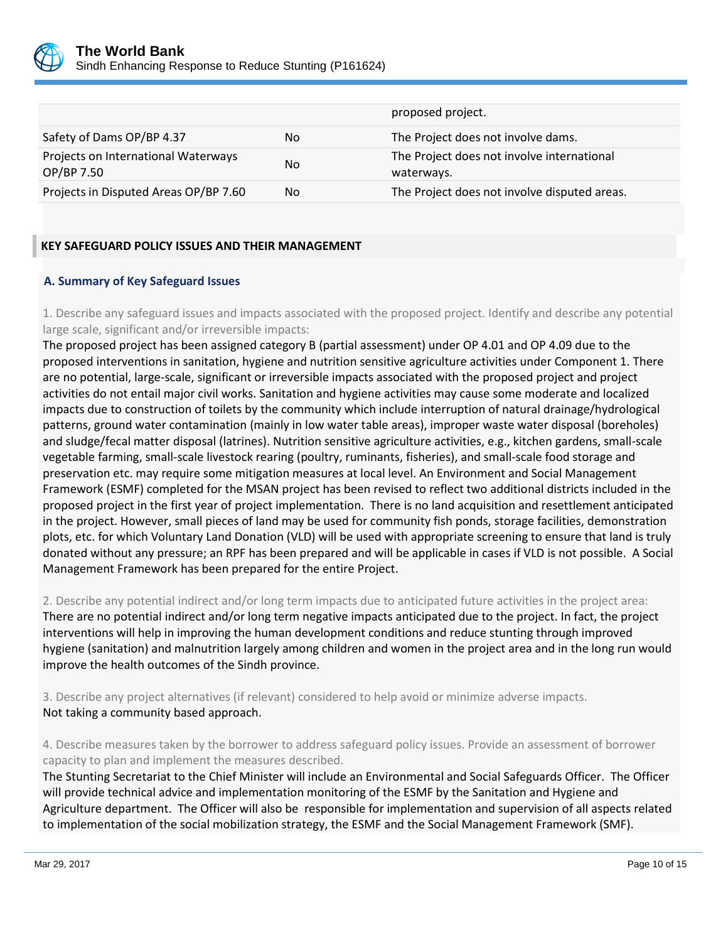

|                                                   |     | proposed project.                                        |
|---------------------------------------------------|-----|----------------------------------------------------------|
| Safety of Dams OP/BP 4.37                         | No  | The Project does not involve dams.                       |
| Projects on International Waterways<br>OP/BP 7.50 | No. | The Project does not involve international<br>waterways. |
| Projects in Disputed Areas OP/BP 7.60             | No  | The Project does not involve disputed areas.             |

# **KEY SAFEGUARD POLICY ISSUES AND THEIR MANAGEMENT**

# **A. Summary of Key Safeguard Issues**

1. Describe any safeguard issues and impacts associated with the proposed project. Identify and describe any potential large scale, significant and/or irreversible impacts:

The proposed project has been assigned category B (partial assessment) under OP 4.01 and OP 4.09 due to the proposed interventions in sanitation, hygiene and nutrition sensitive agriculture activities under Component 1. There are no potential, large-scale, significant or irreversible impacts associated with the proposed project and project activities do not entail major civil works. Sanitation and hygiene activities may cause some moderate and localized impacts due to construction of toilets by the community which include interruption of natural drainage/hydrological patterns, ground water contamination (mainly in low water table areas), improper waste water disposal (boreholes) and sludge/fecal matter disposal (latrines). Nutrition sensitive agriculture activities, e.g., kitchen gardens, small-scale vegetable farming, small-scale livestock rearing (poultry, ruminants, fisheries), and small-scale food storage and preservation etc. may require some mitigation measures at local level. An Environment and Social Management Framework (ESMF) completed for the MSAN project has been revised to reflect two additional districts included in the proposed project in the first year of project implementation. There is no land acquisition and resettlement anticipated in the project. However, small pieces of land may be used for community fish ponds, storage facilities, demonstration plots, etc. for which Voluntary Land Donation (VLD) will be used with appropriate screening to ensure that land is truly donated without any pressure; an RPF has been prepared and will be applicable in cases if VLD is not possible. A Social Management Framework has been prepared for the entire Project.

2. Describe any potential indirect and/or long term impacts due to anticipated future activities in the project area: There are no potential indirect and/or long term negative impacts anticipated due to the project. In fact, the project interventions will help in improving the human development conditions and reduce stunting through improved hygiene (sanitation) and malnutrition largely among children and women in the project area and in the long run would improve the health outcomes of the Sindh province.

3. Describe any project alternatives (if relevant) considered to help avoid or minimize adverse impacts. Not taking a community based approach.

4. Describe measures taken by the borrower to address safeguard policy issues. Provide an assessment of borrower capacity to plan and implement the measures described.

The Stunting Secretariat to the Chief Minister will include an Environmental and Social Safeguards Officer. The Officer will provide technical advice and implementation monitoring of the ESMF by the Sanitation and Hygiene and Agriculture department. The Officer will also be responsible for implementation and supervision of all aspects related to implementation of the social mobilization strategy, the ESMF and the Social Management Framework (SMF).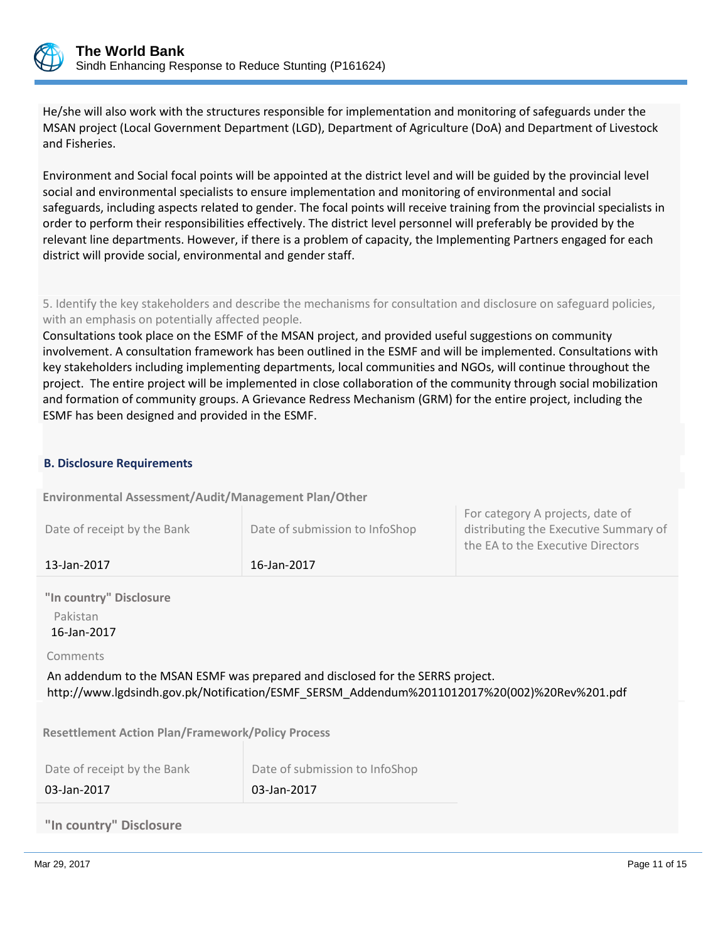

He/she will also work with the structures responsible for implementation and monitoring of safeguards under the MSAN project (Local Government Department (LGD), Department of Agriculture (DoA) and Department of Livestock and Fisheries.

Environment and Social focal points will be appointed at the district level and will be guided by the provincial level social and environmental specialists to ensure implementation and monitoring of environmental and social safeguards, including aspects related to gender. The focal points will receive training from the provincial specialists in order to perform their responsibilities effectively. The district level personnel will preferably be provided by the relevant line departments. However, if there is a problem of capacity, the Implementing Partners engaged for each district will provide social, environmental and gender staff.

5. Identify the key stakeholders and describe the mechanisms for consultation and disclosure on safeguard policies, with an emphasis on potentially affected people.

Consultations took place on the ESMF of the MSAN project, and provided useful suggestions on community involvement. A consultation framework has been outlined in the ESMF and will be implemented. Consultations with key stakeholders including implementing departments, local communities and NGOs, will continue throughout the project. The entire project will be implemented in close collaboration of the community through social mobilization and formation of community groups. A Grievance Redress Mechanism (GRM) for the entire project, including the ESMF has been designed and provided in the ESMF.

# **B. Disclosure Requirements**

**Environmental Assessment/Audit/Management Plan/Other** 

| Date of receipt by the Bank | Date of submission to InfoShop | distributing the Executive Summary of |
|-----------------------------|--------------------------------|---------------------------------------|
| 13-Jan-2017                 | 16-Jan-2017                    | the EA to the Executive Directors     |

**"In country" Disclosure** Pakistan

16-Jan-2017

Comments

An addendum to the MSAN ESMF was prepared and disclosed for the SERRS project. http://www.lgdsindh.gov.pk/Notification/ESMF\_SERSM\_Addendum%2011012017%20(002)%20Rev%201.pdf

**Resettlement Action Plan/Framework/Policy Process**

| Date of receipt by the Bank | Date of submission to InfoShop |
|-----------------------------|--------------------------------|
| 03-Jan-2017                 | $\vert$ 03-Jan-2017            |

# **"In country" Disclosure**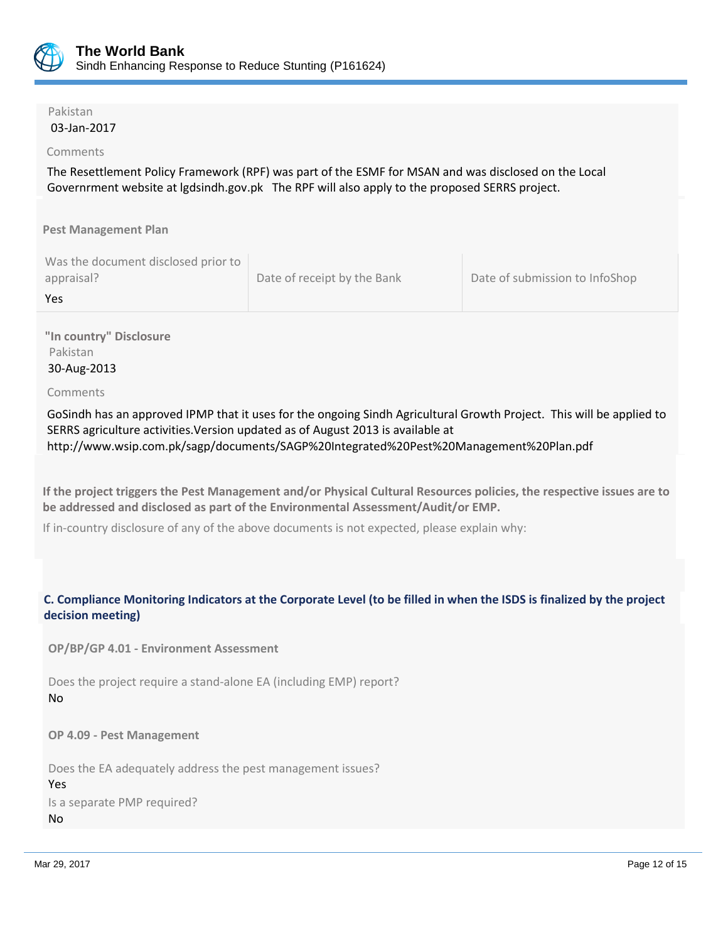

# Pakistan

# 03-Jan-2017

# Comments

The Resettlement Policy Framework (RPF) was part of the ESMF for MSAN and was disclosed on the Local Governrment website at lgdsindh.gov.pk The RPF will also apply to the proposed SERRS project.

**Pest Management Plan**

| Was the document disclosed prior to |                             |                                |
|-------------------------------------|-----------------------------|--------------------------------|
| appraisal?                          | Date of receipt by the Bank | Date of submission to InfoShop |
| Yes                                 |                             |                                |

**"In country" Disclosure** Pakistan 30-Aug-2013

Comments

GoSindh has an approved IPMP that it uses for the ongoing Sindh Agricultural Growth Project. This will be applied to SERRS agriculture activities.Version updated as of August 2013 is available at http://www.wsip.com.pk/sagp/documents/SAGP%20Integrated%20Pest%20Management%20Plan.pdf

**If the project triggers the Pest Management and/or Physical Cultural Resources policies, the respective issues are to be addressed and disclosed as part of the Environmental Assessment/Audit/or EMP.**

If in-country disclosure of any of the above documents is not expected, please explain why:

# **C. Compliance Monitoring Indicators at the Corporate Level (to be filled in when the ISDS is finalized by the project decision meeting)**

**OP/BP/GP 4.01 - Environment Assessment** 

Does the project require a stand-alone EA (including EMP) report? No

**OP 4.09 - Pest Management**

Does the EA adequately address the pest management issues? Yes Is a separate PMP required? No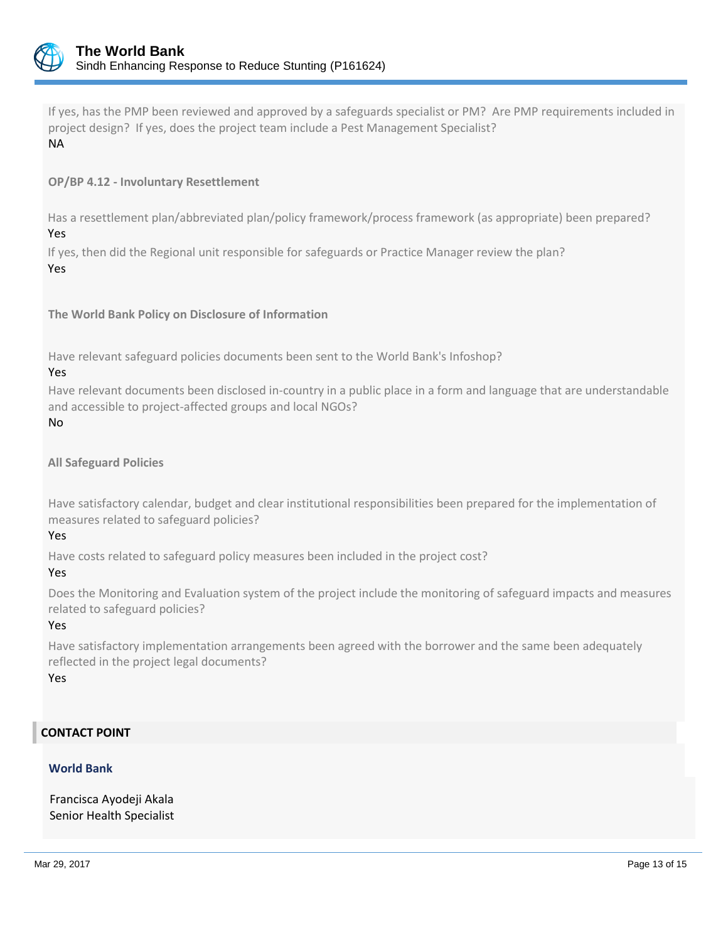

If yes, has the PMP been reviewed and approved by a safeguards specialist or PM? Are PMP requirements included in project design? If yes, does the project team include a Pest Management Specialist? NA

# **OP/BP 4.12 - Involuntary Resettlement**

Has a resettlement plan/abbreviated plan/policy framework/process framework (as appropriate) been prepared? Yes

If yes, then did the Regional unit responsible for safeguards or Practice Manager review the plan? Yes

**The World Bank Policy on Disclosure of Information**

Have relevant safeguard policies documents been sent to the World Bank's Infoshop?

#### Yes

Have relevant documents been disclosed in-country in a public place in a form and language that are understandable and accessible to project-affected groups and local NGOs?

No

# **All Safeguard Policies**

Have satisfactory calendar, budget and clear institutional responsibilities been prepared for the implementation of measures related to safeguard policies?

#### Yes

Have costs related to safeguard policy measures been included in the project cost?

#### Yes

Does the Monitoring and Evaluation system of the project include the monitoring of safeguard impacts and measures related to safeguard policies?

#### Yes

Have satisfactory implementation arrangements been agreed with the borrower and the same been adequately reflected in the project legal documents?

Yes

# **CONTACT POINT**

#### **World Bank**

Francisca Ayodeji Akala Senior Health Specialist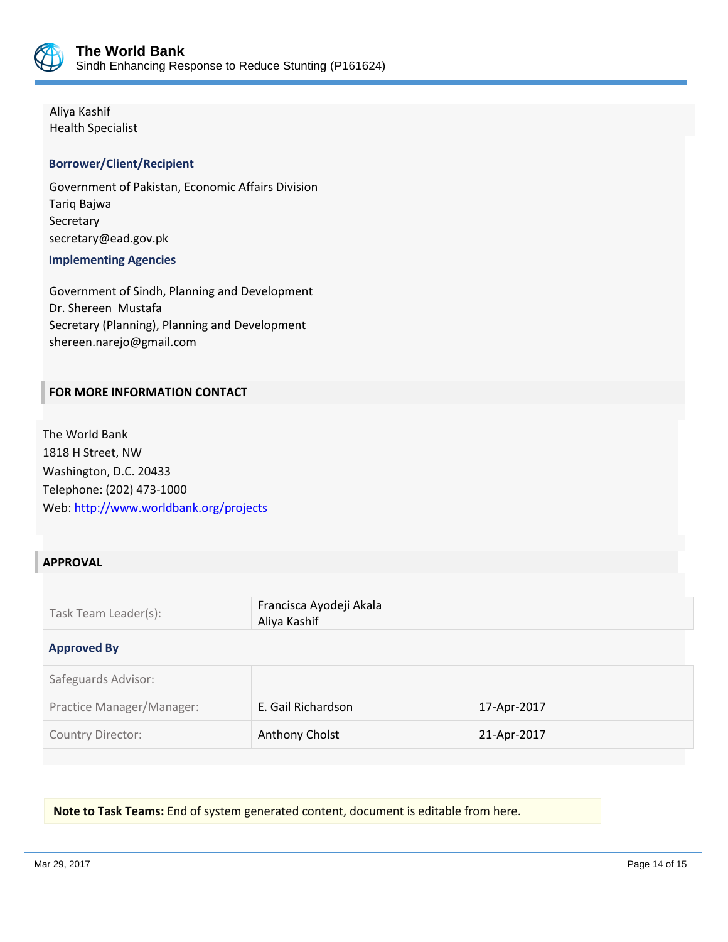

Aliya Kashif Health Specialist

# **Borrower/Client/Recipient**

Government of Pakistan, Economic Affairs Division Tariq Bajwa Secretary secretary@ead.gov.pk

#### **Implementing Agencies**

Government of Sindh, Planning and Development Dr. Shereen Mustafa Secretary (Planning), Planning and Development shereen.narejo@gmail.com

# **FOR MORE INFORMATION CONTACT**

The World Bank 1818 H Street, NW Washington, D.C. 20433 Telephone: (202) 473-1000 Web[: http://www.worldbank.org/projects](http://www.worldbank.org/projects)

# **APPROVAL**

| Task Team Leader(s): | Francisca Ayodeji Akala<br>Aliya Kashif |
|----------------------|-----------------------------------------|
|                      |                                         |

#### **Approved By**

| Safeguards Advisor:       |                    |             |
|---------------------------|--------------------|-------------|
| Practice Manager/Manager: | E. Gail Richardson | 17-Apr-2017 |
| <b>Country Director:</b>  | Anthony Cholst     | 21-Apr-2017 |

**Note to Task Teams:** End of system generated content, document is editable from here.